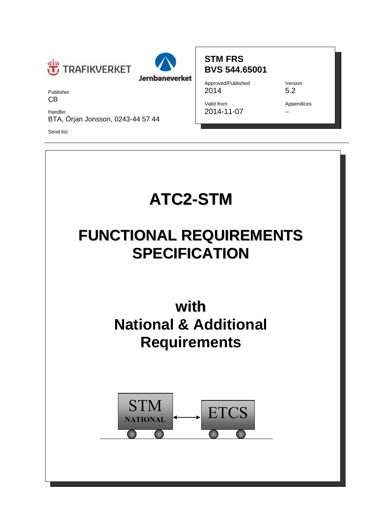



### **STM FRS BVS 544.65001**

Publisher CB

Handler BTA, Örjan Jonsson, 0243-44 57 44

Send list

Approved/Published Version

2014 5.2

Valid from Appendices 2014-11-07

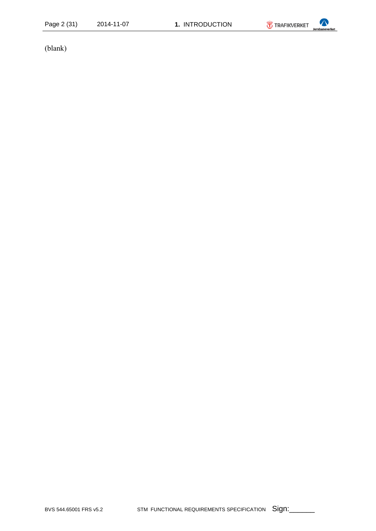$\sqrt{2}$ 

(blank)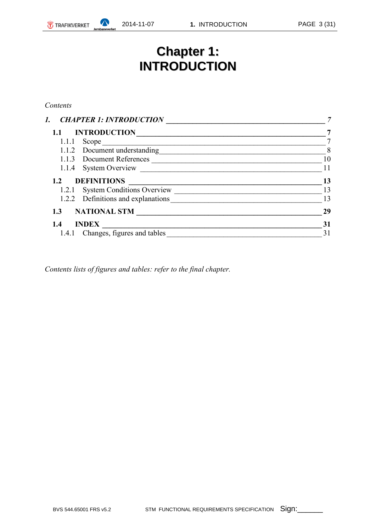$\sqrt{}$ 

# **Chapter 1: INTRODUCTION**

#### *Contents*

| <b>CHAPTER 1: INTRODUCTION</b>     |    |
|------------------------------------|----|
| <b>INTRODUCTION</b>                |    |
| $Scope$ <sub>___</sub><br>1.1.1    |    |
| 1.1.2 Document understanding       | 8  |
| 1.1.3 Document References          | 10 |
| 1.1.4 System Overview              | 11 |
| <b>DEFINITIONS</b>                 | 13 |
| 1.2.1 System Conditions Overview   | 13 |
| 1.2.2 Definitions and explanations | 13 |
| <b>NATIONAL STM</b><br>1.3         | 29 |
| <b>INDEX</b><br>1.4                | 31 |
| 1.4.1 Changes, figures and tables  | 31 |

*Contents lists of figures and tables: refer to the final chapter.*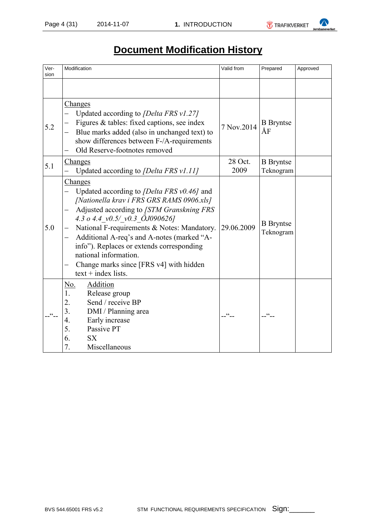## **Document Modification History**

| Ver-<br>sion | Modification                                                                                                                                                                                                                                                                                                                                                                                                                                         | Valid from      | Prepared                      | Approved |
|--------------|------------------------------------------------------------------------------------------------------------------------------------------------------------------------------------------------------------------------------------------------------------------------------------------------------------------------------------------------------------------------------------------------------------------------------------------------------|-----------------|-------------------------------|----------|
|              |                                                                                                                                                                                                                                                                                                                                                                                                                                                      |                 |                               |          |
| 5.2          | Changes<br>Updated according to <i>[Delta FRS v1.27]</i><br>Figures $\&$ tables: fixed captions, see index<br>Blue marks added (also in unchanged text) to<br>show differences between F-/A-requirements<br>Old Reserve-footnotes removed                                                                                                                                                                                                            | 7 Nov.2014      | <b>B</b> Bryntse<br>ÅF        |          |
| 5.1          | Changes<br>Updated according to <i>[Delta FRS v1.11]</i>                                                                                                                                                                                                                                                                                                                                                                                             | 28 Oct.<br>2009 | <b>B</b> Bryntse<br>Teknogram |          |
| 5.0          | Changes<br>Updated according to <i>[Delta FRS v0.46]</i> and<br>[Nationella krav i FRS GRS RAMS 0906.xls]<br>Adjusted according to [STM Granskning FRS<br>4.3 o 4.4 $v0.5/$ $v0.3$ $O$ J090626]<br>29.06.2009<br>National F-requirements & Notes: Mandatory.<br>Additional A-req's and A-notes (marked "A-<br>info"). Replaces or extends corresponding<br>national information.<br>Change marks since [FRS v4] with hidden<br>$text + index lists.$ |                 | <b>B</b> Bryntse<br>Teknogram |          |
|              | Addition<br>No.<br>Release group<br>1.<br>Send / receive BP<br>2.<br>3.<br>DMI / Planning area<br>Early increase<br>4.<br>Passive PT<br>5.<br><b>SX</b><br>6.<br>7.<br>Miscellaneous                                                                                                                                                                                                                                                                 | 66              |                               |          |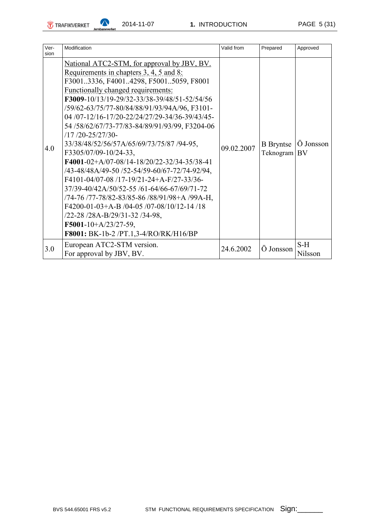

 $\sqrt{}$ 

| Ver-<br>sion | Modification                                                                                                                                                                                                                                                                                                                                                                                                                                                                                                                                                                                                                                                                                                                                                                                                                                                                                     | Valid from | Prepared                         | Approved         |
|--------------|--------------------------------------------------------------------------------------------------------------------------------------------------------------------------------------------------------------------------------------------------------------------------------------------------------------------------------------------------------------------------------------------------------------------------------------------------------------------------------------------------------------------------------------------------------------------------------------------------------------------------------------------------------------------------------------------------------------------------------------------------------------------------------------------------------------------------------------------------------------------------------------------------|------------|----------------------------------|------------------|
| 4.0          | National ATC2-STM, for approval by JBV, BV.<br>Requirements in chapters 3, 4, 5 and 8:<br>F30013336, F40014298, F50015059, F8001<br>Functionally changed requirements:<br>F3009-10/13/19-29/32-33/38-39/48/51-52/54/56<br>/59/62-63/75/77-80/84/88/91/93/94A/96, F3101-<br>04/07-12/16-17/20-22/24/27/29-34/36-39/43/45-<br>54 / 58 / 62 / 67 / 73 - 77 / 83 - 84 / 89 / 91 / 93 / 99, F 3 204 - 06<br>$/17/20 - 25/27/30 -$<br>33/38/48/52/56/57A/65/69/73/75/87 /94-95,<br>F3305/07/09-10/24-33,<br>F4001-02+A/07-08/14-18/20/22-32/34-35/38-41<br>/43-48/48A/49-50 /52-54/59-60/67-72/74-92/94,<br>F4101-04/07-08 /17-19/21-24+A-F/27-33/36-<br>37/39-40/42A/50/52-55 /61-64/66-67/69/71-72<br>/74-76 /77-78/82-83/85-86 /88/91/98+A /99A-H,<br>F4200-01-03+A-B /04-05 /07-08/10/12-14 /18<br>/22-28 /28A-B/29/31-32 /34-98,<br>F5001-10+A/23/27-59,<br>F8001: BK-1b-2 /PT.1,3-4/RO/RK/H16/BP | 09.02.2007 | <b>B</b> Bryntse<br>Teknogram BV | Ö Jonsson        |
| 3.0          | European ATC2-STM version.<br>For approval by JBV, BV.                                                                                                                                                                                                                                                                                                                                                                                                                                                                                                                                                                                                                                                                                                                                                                                                                                           | 24.6.2002  | Ö Jonsson                        | $S-H$<br>Nilsson |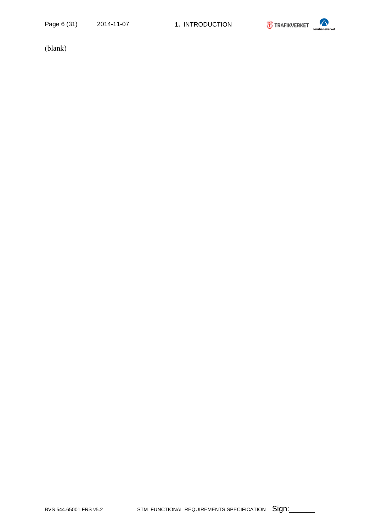$\sqrt{2}$ 

(blank)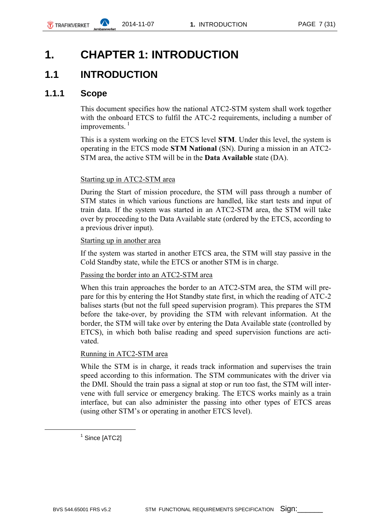## <span id="page-6-0"></span>**1. CHAPTER 1: INTRODUCTION**

## <span id="page-6-1"></span>**1.1 INTRODUCTION**

#### <span id="page-6-2"></span>**1.1.1 Scope**

This document specifies how the national ATC2-STM system shall work together with the onboard ETCS to fulfil the ATC-2 requirements, including a number of improvements.<sup>1</sup>

This is a system working on the ETCS level **STM**. Under this level, the system is operating in the ETCS mode **STM National** (SN). During a mission in an ATC2- STM area, the active STM will be in the **Data Available** state (DA).

#### Starting up in ATC2-STM area

During the Start of mission procedure, the STM will pass through a number of STM states in which various functions are handled, like start tests and input of train data. If the system was started in an ATC2-STM area, the STM will take over by proceeding to the Data Available state (ordered by the ETCS, according to a previous driver input).

#### Starting up in another area

If the system was started in another ETCS area, the STM will stay passive in the Cold Standby state, while the ETCS or another STM is in charge.

#### Passing the border into an ATC2-STM area

When this train approaches the border to an ATC2-STM area, the STM will prepare for this by entering the Hot Standby state first, in which the reading of ATC-2 balises starts (but not the full speed supervision program). This prepares the STM before the take-over, by providing the STM with relevant information. At the border, the STM will take over by entering the Data Available state (controlled by ETCS), in which both balise reading and speed supervision functions are activated.

#### Running in ATC2-STM area

While the STM is in charge, it reads track information and supervises the train speed according to this information. The STM communicates with the driver via the DMI. Should the train pass a signal at stop or run too fast, the STM will intervene with full service or emergency braking. The ETCS works mainly as a train interface, but can also administer the passing into other types of ETCS areas (using other STM's or operating in another ETCS level).

<sup>1</sup> Since [ATC2]

 $\overline{a}$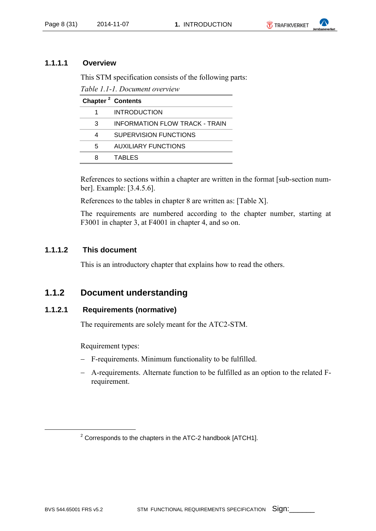Page 8 (31) 2014-11-07 **1.** INTRODUCTION

#### **1.1.1.1 Overview**

This STM specification consists of the following parts:

*Table 1.1-1. Document overview*

| Chapter <sup>2</sup> Contents |                                |
|-------------------------------|--------------------------------|
|                               | <b>INTRODUCTION</b>            |
| 3                             | INFORMATION FLOW TRACK - TRAIN |
| 4                             | <b>SUPERVISION FUNCTIONS</b>   |
| 5                             | AUXILIARY FUNCTIONS            |
|                               | <b>TABLES</b>                  |

References to sections within a chapter are written in the format [sub-section number]. Example: [3.4.5.6].

References to the tables in chapter 8 are written as: [Table X].

The requirements are numbered according to the chapter number, starting at F3001 in chapter 3, at F4001 in chapter 4, and so on.

#### **1.1.1.2 This document**

This is an introductory chapter that explains how to read the others.

### <span id="page-7-0"></span>**1.1.2 Document understanding**

#### **1.1.2.1 Requirements (normative)**

The requirements are solely meant for the ATC2-STM.

Requirement types:

- F-requirements. Minimum functionality to be fulfilled.
- A-requirements. Alternate function to be fulfilled as an option to the related Frequirement.

 $\overline{a}$ 

 $2$  Corresponds to the chapters in the ATC-2 handbook [ATCH1].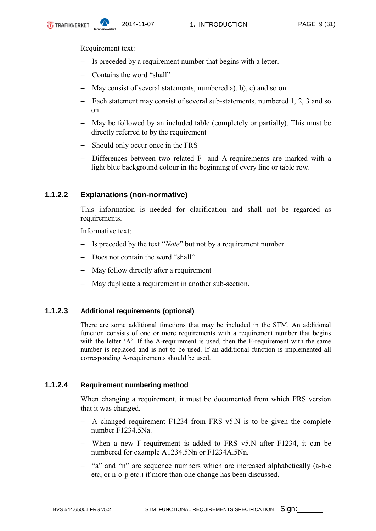Requirement text:

- Is preceded by a requirement number that begins with a letter.
- Contains the word "shall"
- May consist of several statements, numbered a), b), c) and so on
- Each statement may consist of several sub-statements, numbered 1, 2, 3 and so on
- May be followed by an included table (completely or partially). This must be directly referred to by the requirement
- Should only occur once in the FRS
- Differences between two related F- and A-requirements are marked with a light blue background colour in the beginning of every line or table row.

#### **1.1.2.2 Explanations (non-normative)**

This information is needed for clarification and shall not be regarded as requirements.

Informative text:

- Is preceded by the text "*Note*" but not by a requirement number
- Does not contain the word "shall"
- May follow directly after a requirement
- May duplicate a requirement in another sub-section.

#### **1.1.2.3 Additional requirements (optional)**

There are some additional functions that may be included in the STM. An additional function consists of one or more requirements with a requirement number that begins with the letter 'A'. If the A-requirement is used, then the F-requirement with the same number is replaced and is not to be used. If an additional function is implemented all corresponding A-requirements should be used.

#### **1.1.2.4 Requirement numbering method**

When changing a requirement, it must be documented from which FRS version that it was changed.

- $-$  A changed requirement F1234 from FRS v5.N is to be given the complete number F1234.5Na.
- When a new F-requirement is added to FRS v5.N after F1234, it can be numbered for example A1234.5Nn or F1234A.5Nn*.*
- "a" and "n" are sequence numbers which are increased alphabetically (a-b-c etc, or n-o-p etc.) if more than one change has been discussed.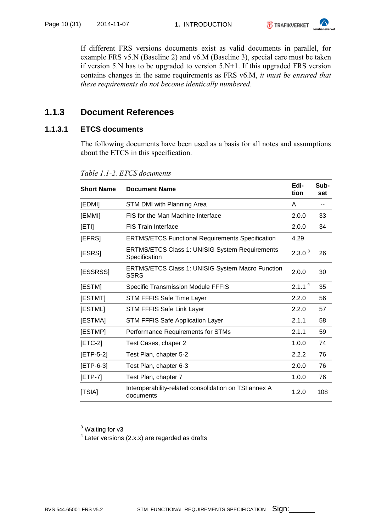If different FRS versions documents exist as valid documents in parallel, for example FRS v5.N (Baseline 2) and v6.M (Baseline 3), special care must be taken if version 5.N has to be upgraded to version 5.N+1. If this upgraded FRS version contains changes in the same requirements as FRS v6.M, *it must be ensured that these requirements do not become identically numbered*.

### <span id="page-9-0"></span>**1.1.3 Document References**

#### **1.1.3.1 ETCS documents**

The following documents have been used as a basis for all notes and assumptions about the ETCS in this specification.

|  |  |  | Table 1.1-2. ETCS documents |
|--|--|--|-----------------------------|
|--|--|--|-----------------------------|

| <b>Short Name</b> | <b>Document Name</b>                                                   | Edi-<br>tion       | Sub-<br>set |
|-------------------|------------------------------------------------------------------------|--------------------|-------------|
| [EDMI]            | STM DMI with Planning Area                                             | A                  | --          |
| [EMMI]            | FIS for the Man Machine Interface                                      | 2.0.0              | 33          |
| <b>[ETI]</b>      | <b>FIS Train Interface</b>                                             | 2.0.0              | 34          |
| [EFRS]            | <b>ERTMS/ETCS Functional Requirements Specification</b>                | 4.29               |             |
| [ESRS]            | <b>ERTMS/ETCS Class 1: UNISIG System Requirements</b><br>Specification | 2.3.0 <sup>3</sup> | 26          |
| [ESSRSS]          | ERTMS/ETCS Class 1: UNISIG System Macro Function<br><b>SSRS</b>        | 2.0.0              | 30          |
| [ESTM]            | <b>Specific Transmission Module FFFIS</b>                              | 2.1.1 <sup>4</sup> | 35          |
| [ESTMT]           | STM FFFIS Safe Time Layer                                              | 2.2.0              | 56          |
| [ESTML]           | STM FFFIS Safe Link Layer                                              | 2.2.0              | 57          |
| [ESTMA]           | <b>STM FFFIS Safe Application Layer</b>                                | 2.1.1              | 58          |
| [ESTMP]           | Performance Requirements for STMs                                      | 2.1.1              | 59          |
| $[ETC-2]$         | Test Cases, chaper 2                                                   | 1.0.0              | 74          |
| $[ETP-5-2]$       | Test Plan, chapter 5-2                                                 | 2.2.2              | 76          |
| $[ETP-6-3]$       | Test Plan, chapter 6-3                                                 | 2.0.0              | 76          |
| $[ETP-7]$         | Test Plan, chapter 7                                                   | 1.0.0              | 76          |
| [TSIA]            | Interoperability-related consolidation on TSI annex A<br>documents     | 1.2.0              | 108         |

<sup>&</sup>lt;sup>3</sup> Waiting for v3

 $\overline{a}$ 

 $4$  Later versions (2.x.x) are regarded as drafts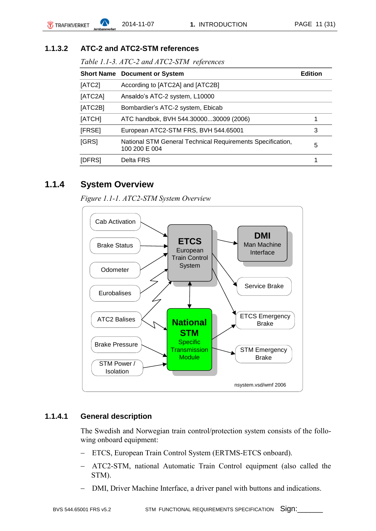#### **1.1.3.2 ATC-2 and ATC2-STM references**

*Table 1.1-3. ATC-2 and ATC2-STM references*

|         | <b>Short Name</b> Document or System                                        | <b>Edition</b> |
|---------|-----------------------------------------------------------------------------|----------------|
| [ATC2]  | According to [ATC2A] and [ATC2B]                                            |                |
| [ATC2A] | Ansaldo's ATC-2 system, L10000                                              |                |
| [ATC2B] | Bombardier's ATC-2 system, Ebicab                                           |                |
| [ATCH]  | ATC handbok, BVH 544.3000030009 (2006)                                      |                |
| [FRSE]  | European ATC2-STM FRS, BVH 544.65001                                        | 3              |
| [GRS]   | National STM General Technical Requirements Specification,<br>100 200 E 004 | 5              |
| [DFRS]  | Delta FRS                                                                   |                |

### <span id="page-10-0"></span>**1.1.4 System Overview**

*Figure 1.1-1. ATC2-STM System Overview*



#### **1.1.4.1 General description**

The Swedish and Norwegian train control/protection system consists of the following onboard equipment:

- ETCS, European Train Control System (ERTMS-ETCS onboard).
- ATC2-STM, national Automatic Train Control equipment (also called the STM).
- DMI, Driver Machine Interface, a driver panel with buttons and indications.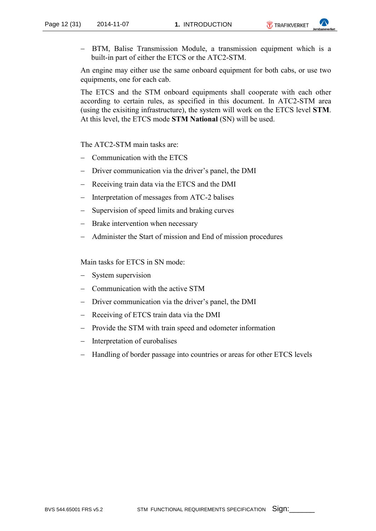- BTM, Balise Transmission Module, a transmission equipment which is a built-in part of either the ETCS or the ATC2-STM.

An engine may either use the same onboard equipment for both cabs, or use two equipments, one for each cab.

The ETCS and the STM onboard equipments shall cooperate with each other according to certain rules, as specified in this document. In ATC2-STM area (using the exisiting infrastructure), the system will work on the ETCS level **STM**. At this level, the ETCS mode **STM National** (SN) will be used.

The ATC2-STM main tasks are:

- Communication with the ETCS
- Driver communication via the driver's panel, the DMI
- Receiving train data via the ETCS and the DMI
- Interpretation of messages from ATC-2 balises
- Supervision of speed limits and braking curves
- Brake intervention when necessary
- Administer the Start of mission and End of mission procedures

Main tasks for ETCS in SN mode:

- System supervision
- Communication with the active STM
- Driver communication via the driver's panel, the DMI
- Receiving of ETCS train data via the DMI
- Provide the STM with train speed and odometer information
- Interpretation of eurobalises
- Handling of border passage into countries or areas for other ETCS levels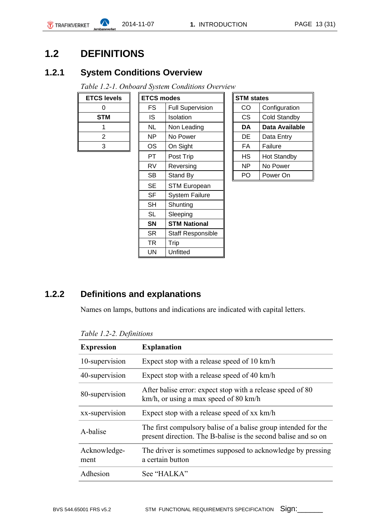## <span id="page-12-0"></span>**1.2 DEFINITIONS**

## <span id="page-12-1"></span>**1.2.1 System Conditions Overview**

*Table 1.2-1. Onboard System Conditions Overview*

| <b>ETCS levels</b> | <b>ETCS modes</b> |                         | <b>STM</b> states |    |
|--------------------|-------------------|-------------------------|-------------------|----|
|                    | <b>FS</b>         | <b>Full Supervision</b> | CO                | С  |
| <b>STM</b>         | IS                | Isolation               | <b>CS</b>         | С  |
|                    | <b>NL</b>         | Non Leading             | DA                | D  |
| $\overline{2}$     | NP                | No Power                | DE                | Dε |
| 3                  | <b>OS</b>         | On Sight                | FA                | Fε |
|                    | PT                | Post Trip               | <b>HS</b>         | Ho |
|                    | RV                | Reversing               | <b>NP</b>         | N  |
|                    | <b>SB</b>         | Stand By                | PO                | Po |
|                    | ~-                | .                       |                   |    |

| וששו פיS       | ETCS MODES |                          | <b>SIM STATES</b> |                    |
|----------------|------------|--------------------------|-------------------|--------------------|
| 0              | FS         | <b>Full Supervision</b>  | CO                | Configuration      |
| <b>STM</b>     | IS.        | Isolation                | CS                | Cold Standby       |
| 1              | NL         | Non Leading              | DA                | Data Available     |
| $\overline{2}$ | NP.        | No Power                 | DE                | Data Entry         |
| 3              | OS.        | On Sight                 | FA                | Failure            |
|                | PT         | Post Trip                | НS                | <b>Hot Standby</b> |
|                | RV         | Reversing                | NP.               | No Power           |
|                | SВ         | Stand By                 | PO.               | Power On           |
|                | <b>SE</b>  | <b>STM European</b>      |                   |                    |
|                | SF         | <b>System Failure</b>    |                   |                    |
|                | SН         | Shunting                 |                   |                    |
|                | SL         | Sleeping                 |                   |                    |
|                | <b>SN</b>  | <b>STM National</b>      |                   |                    |
|                | SR         | <b>Staff Responsible</b> |                   |                    |
|                | TR         | Trip                     |                   |                    |
|                | <b>UN</b>  | Unfitted                 |                   |                    |
|                |            |                          |                   |                    |

| <b>STM states</b> |                     |
|-------------------|---------------------|
| CO                | Configuration       |
| CS                | <b>Cold Standby</b> |
| DA                | Data Available      |
| DE                | Data Entry          |
| FA                | Failure             |
| НS                | <b>Hot Standby</b>  |
| NΡ                | No Power            |
|                   | Power On            |

### <span id="page-12-2"></span>**1.2.2 Definitions and explanations**

Names on lamps, buttons and indications are indicated with capital letters.

| <b>Expression</b>    | <b>Explanation</b>                                                                                                               |
|----------------------|----------------------------------------------------------------------------------------------------------------------------------|
| 10-supervision       | Expect stop with a release speed of 10 km/h                                                                                      |
| 40-supervision       | Expect stop with a release speed of 40 km/h                                                                                      |
| 80-supervision       | After balise error: expect stop with a release speed of 80<br>km/h, or using a max speed of 80 km/h                              |
| xx-supervision       | Expect stop with a release speed of xx km/h                                                                                      |
| A-balise             | The first compulsory balise of a balise group intended for the<br>present direction. The B-balise is the second balise and so on |
| Acknowledge-<br>ment | The driver is sometimes supposed to acknowledge by pressing<br>a certain button                                                  |
| Adhesion             | See "HALKA"                                                                                                                      |

*Table 1.2-2. Definitions*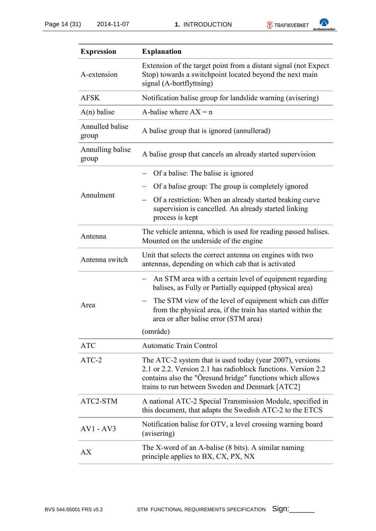| <b>Expression</b>         | <b>Explanation</b>                                                                                                                                                                                                                         |  |  |  |
|---------------------------|--------------------------------------------------------------------------------------------------------------------------------------------------------------------------------------------------------------------------------------------|--|--|--|
| A-extension               | Extension of the target point from a distant signal (not Expect)<br>Stop) towards a switchpoint located beyond the next main<br>signal (A-bortflyttning)                                                                                   |  |  |  |
| <b>AFSK</b>               | Notification balise group for landslide warning (avisering)                                                                                                                                                                                |  |  |  |
| $A(n)$ balise             | A-balise where $AX = n$                                                                                                                                                                                                                    |  |  |  |
| Annulled balise<br>group  | A balise group that is ignored (annullerad)                                                                                                                                                                                                |  |  |  |
| Annulling balise<br>group | A balise group that cancels an already started supervision                                                                                                                                                                                 |  |  |  |
|                           | Of a balise: The balise is ignored                                                                                                                                                                                                         |  |  |  |
|                           | Of a balise group: The group is completely ignored                                                                                                                                                                                         |  |  |  |
| Annulment                 | Of a restriction: When an already started braking curve<br>supervision is cancelled. An already started linking<br>process is kept                                                                                                         |  |  |  |
| Antenna                   | The vehicle antenna, which is used for reading passed balises.<br>Mounted on the underside of the engine                                                                                                                                   |  |  |  |
| Antenna switch            | Unit that selects the correct antenna on engines with two<br>antennas, depending on which cab that is activated                                                                                                                            |  |  |  |
|                           | An STM area with a certain level of equipment regarding<br>balises, as Fully or Partially equipped (physical area)                                                                                                                         |  |  |  |
| Area                      | The STM view of the level of equipment which can differ<br>from the physical area, if the train has started within the<br>area or after balise error (STM area)                                                                            |  |  |  |
|                           | (område)                                                                                                                                                                                                                                   |  |  |  |
| <b>ATC</b>                | <b>Automatic Train Control</b>                                                                                                                                                                                                             |  |  |  |
| $ATC-2$                   | The ATC-2 system that is used today (year 2007), versions<br>2.1 or 2.2. Version 2.1 has radioblock functions. Version 2.2<br>contains also the "Öresund bridge" functions which allows<br>trains to run between Sweden and Denmark [ATC2] |  |  |  |
| ATC2-STM                  | A national ATC-2 Special Transmission Module, specified in<br>this document, that adapts the Swedish ATC-2 to the ETCS                                                                                                                     |  |  |  |
| $AV1 - AV3$               | Notification balise for OTV, a level crossing warning board<br>(avisering)                                                                                                                                                                 |  |  |  |
| AX                        | The X-word of an A-balise (8 bits). A similar naming<br>principle applies to BX, CX, PX, NX                                                                                                                                                |  |  |  |
|                           |                                                                                                                                                                                                                                            |  |  |  |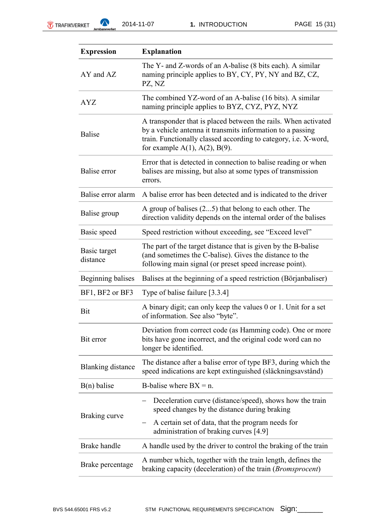**TRAFIKVERKET** 

 $\sqrt{}$ 

| <b>Expression</b>        | <b>Explanation</b>                                                                                                                                                                                                                        |
|--------------------------|-------------------------------------------------------------------------------------------------------------------------------------------------------------------------------------------------------------------------------------------|
| AY and AZ                | The Y- and Z-words of an A-balise (8 bits each). A similar<br>naming principle applies to BY, CY, PY, NY and BZ, CZ,<br>PZ, NZ                                                                                                            |
| <b>AYZ</b>               | The combined YZ-word of an A-balise (16 bits). A similar<br>naming principle applies to BYZ, CYZ, PYZ, NYZ                                                                                                                                |
| <b>Balise</b>            | A transponder that is placed between the rails. When activated<br>by a vehicle antenna it transmits information to a passing<br>train. Functionally classed according to category, i.e. X-word,<br>for example $A(1)$ , $A(2)$ , $B(9)$ . |
| Balise error             | Error that is detected in connection to balise reading or when<br>balises are missing, but also at some types of transmission<br>errors.                                                                                                  |
| Balise error alarm       | A balise error has been detected and is indicated to the driver                                                                                                                                                                           |
| Balise group             | A group of balises $(25)$ that belong to each other. The<br>direction validity depends on the internal order of the balises                                                                                                               |
| Basic speed              | Speed restriction without exceeding, see "Exceed level"                                                                                                                                                                                   |
| Basic target<br>distance | The part of the target distance that is given by the B-balise<br>(and sometimes the C-balise). Gives the distance to the<br>following main signal (or preset speed increase point).                                                       |
| Beginning balises        | Balises at the beginning of a speed restriction (Börjanbaliser)                                                                                                                                                                           |
| BF1, BF2 or BF3          | Type of balise failure [3.3.4]                                                                                                                                                                                                            |
| Bit                      | A binary digit; can only keep the values 0 or 1. Unit for a set<br>of information. See also "byte".                                                                                                                                       |
| Bit error                | Deviation from correct code (as Hamming code). One or more<br>bits have gone incorrect, and the original code word can no<br>longer be identified.                                                                                        |
| <b>Blanking distance</b> | The distance after a balise error of type BF3, during which the<br>speed indications are kept extinguished (släckningsavstånd)                                                                                                            |
| $B(n)$ balise            | B-balise where $BX = n$ .                                                                                                                                                                                                                 |
| Braking curve            | Deceleration curve (distance/speed), shows how the train<br>speed changes by the distance during braking                                                                                                                                  |
|                          | A certain set of data, that the program needs for<br>administration of braking curves [4.9]                                                                                                                                               |
| Brake handle             | A handle used by the driver to control the braking of the train                                                                                                                                                                           |
| Brake percentage         | A number which, together with the train length, defines the<br>braking capacity (deceleration) of the train ( <i>Bromsprocent</i> )                                                                                                       |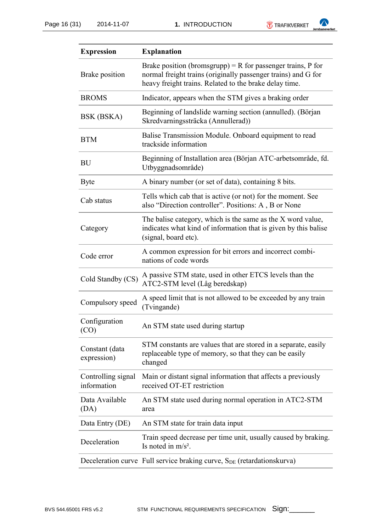**TRAFIKVERKET** 

| <b>Expression</b>                 | <b>Explanation</b>                                                                                                                                                                     |
|-----------------------------------|----------------------------------------------------------------------------------------------------------------------------------------------------------------------------------------|
| <b>Brake</b> position             | Brake position (bromsgrupp) = R for passenger trains, P for<br>normal freight trains (originally passenger trains) and G for<br>heavy freight trains. Related to the brake delay time. |
| <b>BROMS</b>                      | Indicator, appears when the STM gives a braking order                                                                                                                                  |
| BSK (BSKA)                        | Beginning of landslide warning section (annulled). (Början<br>Skredvarningssträcka (Annullerad))                                                                                       |
| <b>BTM</b>                        | Balise Transmission Module. Onboard equipment to read<br>trackside information                                                                                                         |
| BU                                | Beginning of Installation area (Början ATC-arbetsområde, fd.<br>Utbyggnadsområde)                                                                                                      |
| <b>Byte</b>                       | A binary number (or set of data), containing 8 bits.                                                                                                                                   |
| Cab status                        | Tells which cab that is active (or not) for the moment. See<br>also "Direction controller". Positions: A, B or None                                                                    |
| Category                          | The balise category, which is the same as the X word value,<br>indicates what kind of information that is given by this balise<br>(signal, board etc).                                 |
| Code error                        | A common expression for bit errors and incorrect combi-<br>nations of code words                                                                                                       |
| Cold Standby (CS)                 | A passive STM state, used in other ETCS levels than the<br>ATC2-STM level (Låg beredskap)                                                                                              |
| Compulsory speed                  | A speed limit that is not allowed to be exceeded by any train<br>(Tvingande)                                                                                                           |
| Configuration<br>(CO)             | An STM state used during startup                                                                                                                                                       |
| Constant (data<br>expression)     | STM constants are values that are stored in a separate, easily<br>replaceable type of memory, so that they can be easily<br>changed                                                    |
| Controlling signal<br>information | Main or distant signal information that affects a previously<br>received OT-ET restriction                                                                                             |
| Data Available<br>(DA)            | An STM state used during normal operation in ATC2-STM<br>area                                                                                                                          |
| Data Entry (DE)                   | An STM state for train data input                                                                                                                                                      |
| Deceleration                      | Train speed decrease per time unit, usually caused by braking.<br>Is noted in $m/s^2$ .                                                                                                |
|                                   | Deceleration curve Full service braking curve, S <sub>DE</sub> (retardationskurva)                                                                                                     |
|                                   |                                                                                                                                                                                        |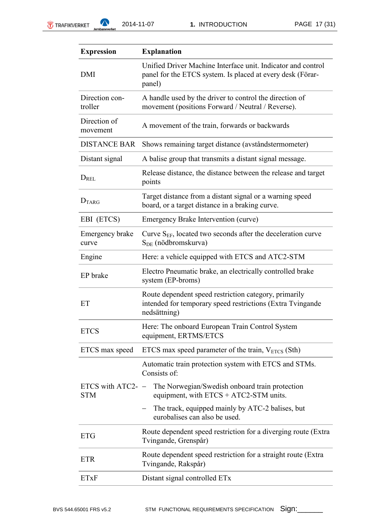$\sqrt{}$ ernbanever

| <b>Expression</b>                 | <b>Explanation</b>                                                                                                                   |
|-----------------------------------|--------------------------------------------------------------------------------------------------------------------------------------|
| <b>DMI</b>                        | Unified Driver Machine Interface unit. Indicator and control<br>panel for the ETCS system. Is placed at every desk (Förar-<br>panel) |
| Direction con-<br>troller         | A handle used by the driver to control the direction of<br>movement (positions Forward / Neutral / Reverse).                         |
| Direction of<br>movement          | A movement of the train, forwards or backwards                                                                                       |
| <b>DISTANCE BAR</b>               | Shows remaining target distance (avståndstermometer)                                                                                 |
| Distant signal                    | A balise group that transmits a distant signal message.                                                                              |
| $D_{REL}$                         | Release distance, the distance between the release and target<br>points                                                              |
| $D_{TARG}$                        | Target distance from a distant signal or a warning speed<br>board, or a target distance in a braking curve.                          |
| EBI (ETCS)                        | Emergency Brake Intervention (curve)                                                                                                 |
| Emergency brake<br>curve          | Curve $S_{EF}$ , located two seconds after the deceleration curve<br>$S_{DE}$ (nödbromskurva)                                        |
| Engine                            | Here: a vehicle equipped with ETCS and ATC2-STM                                                                                      |
| EP brake                          | Electro Pneumatic brake, an electrically controlled brake<br>system (EP-broms)                                                       |
| ET                                | Route dependent speed restriction category, primarily<br>intended for temporary speed restrictions (Extra Tvingande<br>nedsättning)  |
| <b>ETCS</b>                       | Here: The onboard European Train Control System<br>equipment, ERTMS/ETCS                                                             |
| ETCS max speed                    | ETCS max speed parameter of the train, $V_{ETCS}$ (Sth)                                                                              |
|                                   | Automatic train protection system with ETCS and STMs.<br>Consists of:                                                                |
| ETCS with ATC2- $-$<br><b>STM</b> | The Norwegian/Swedish onboard train protection<br>equipment, with ETCS + ATC2-STM units.                                             |
|                                   | The track, equipped mainly by ATC-2 balises, but<br>eurobalises can also be used.                                                    |
| <b>ETG</b>                        | Route dependent speed restriction for a diverging route (Extra<br>Tvingande, Grenspår)                                               |
| <b>ETR</b>                        | Route dependent speed restriction for a straight route (Extra<br>Tvingande, Rakspår)                                                 |
| <b>ETxF</b>                       | Distant signal controlled ETx                                                                                                        |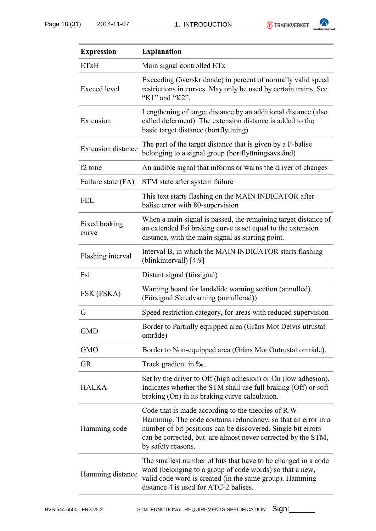| <b>Explanation</b>                                                                                                                                                                                                                                                        |
|---------------------------------------------------------------------------------------------------------------------------------------------------------------------------------------------------------------------------------------------------------------------------|
| Main signal controlled ETx                                                                                                                                                                                                                                                |
| Exceeding (överskridande) in percent of normally valid speed<br>restrictions in curves. May only be used by certain trains. See<br>"K1" and "K2".                                                                                                                         |
| Lengthening of target distance by an additional distance (also<br>called deferment). The extension distance is added to the<br>basic target distance (bortflyttning)                                                                                                      |
| The part of the target distance that is given by a P-balise<br>belonging to a signal group (bortflyttningsavstånd)                                                                                                                                                        |
| An audible signal that informs or warns the driver of changes                                                                                                                                                                                                             |
| STM state after system failure                                                                                                                                                                                                                                            |
| This text starts flashing on the MAIN INDICATOR after<br>balise error with 80-supervision                                                                                                                                                                                 |
| When a main signal is passed, the remaining target distance of<br>an extended Fsi braking curve is set equal to the extension<br>distance, with the main signal as starting point.                                                                                        |
| Interval B, in which the MAIN INDICATOR starts flashing<br>(blinkintervall) [4.9]                                                                                                                                                                                         |
| Distant signal (försignal)                                                                                                                                                                                                                                                |
| Warning board for landslide warning section (annulled).<br>(Försignal Skredvarning (annullerad))                                                                                                                                                                          |
| Speed restriction category, for areas with reduced supervision                                                                                                                                                                                                            |
| Border to Partially equipped area (Gräns Mot Delvis utrustat<br>område)                                                                                                                                                                                                   |
| Border to Non-equipped area (Gräns Mot Outrustat område).                                                                                                                                                                                                                 |
| Track gradient in ‰.                                                                                                                                                                                                                                                      |
| Set by the driver to Off (high adhesion) or On (low adhesion).<br>Indicates whether the STM shall use full braking (Off) or soft<br>braking (On) in its braking curve calculation.                                                                                        |
| Code that is made according to the theories of R.W.<br>Hamming. The code contains redundancy, so that an error in a<br>number of bit positions can be discovered. Single bit errors<br>can be corrected, but are almost never corrected by the STM,<br>by safety reasons. |
| The smallest number of bits that have to be changed in a code<br>word (belonging to a group of code words) so that a new,<br>valid code word is created (in the same group). Hamming<br>distance 4 is used for ATC-2 balises.                                             |
|                                                                                                                                                                                                                                                                           |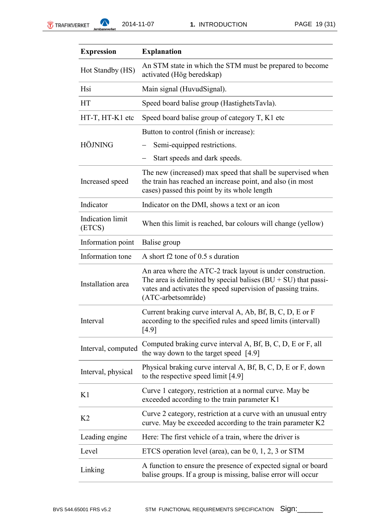$\sqrt{}$ 

| <b>Expression</b>          | <b>Explanation</b>                                                                                                                                                                                                    |
|----------------------------|-----------------------------------------------------------------------------------------------------------------------------------------------------------------------------------------------------------------------|
| Hot Standby (HS)           | An STM state in which the STM must be prepared to become<br>activated (Hög beredskap)                                                                                                                                 |
| Hsi                        | Main signal (HuvudSignal).                                                                                                                                                                                            |
| <b>HT</b>                  | Speed board balise group (HastighetsTavla).                                                                                                                                                                           |
| HT-T, HT-K1 etc            | Speed board balise group of category T, K1 etc                                                                                                                                                                        |
|                            | Button to control (finish or increase):                                                                                                                                                                               |
| HÖJNING                    | Semi-equipped restrictions.                                                                                                                                                                                           |
|                            | Start speeds and dark speeds.                                                                                                                                                                                         |
| Increased speed            | The new (increased) max speed that shall be supervised when<br>the train has reached an increase point, and also (in most<br>cases) passed this point by its whole length                                             |
| Indicator                  | Indicator on the DMI, shows a text or an icon                                                                                                                                                                         |
| Indication limit<br>(ETCS) | When this limit is reached, bar colours will change (yellow)                                                                                                                                                          |
| Information point          | Balise group                                                                                                                                                                                                          |
| Information tone           | A short f2 tone of 0.5 s duration                                                                                                                                                                                     |
| Installation area          | An area where the ATC-2 track layout is under construction.<br>The area is delimited by special balises $(BU + SU)$ that passi-<br>vates and activates the speed supervision of passing trains.<br>(ATC-arbetsområde) |
| Interval                   | Current braking curve interval A, Ab, Bf, B, C, D, E or F<br>according to the specified rules and speed limits (intervall)<br>[4.9]                                                                                   |
| Interval, computed         | Computed braking curve interval A, Bf, B, C, D, E or F, all<br>the way down to the target speed [4.9]                                                                                                                 |
| Interval, physical         | Physical braking curve interval A, Bf, B, C, D, E or F, down<br>to the respective speed limit $[4.9]$                                                                                                                 |
| K1                         | Curve 1 category, restriction at a normal curve. May be<br>exceeded according to the train parameter K1                                                                                                               |
| K <sub>2</sub>             | Curve 2 category, restriction at a curve with an unusual entry<br>curve. May be exceeded according to the train parameter K2                                                                                          |
| Leading engine             | Here: The first vehicle of a train, where the driver is                                                                                                                                                               |
| Level                      | ETCS operation level (area), can be $0, 1, 2, 3$ or STM                                                                                                                                                               |
| Linking                    | A function to ensure the presence of expected signal or board<br>balise groups. If a group is missing, balise error will occur                                                                                        |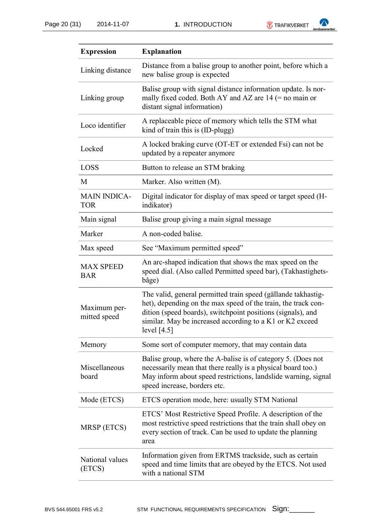| <b>Expression</b>                 | <b>Explanation</b>                                                                                                                                                                                                                                                         |
|-----------------------------------|----------------------------------------------------------------------------------------------------------------------------------------------------------------------------------------------------------------------------------------------------------------------------|
| Linking distance                  | Distance from a balise group to another point, before which a<br>new balise group is expected                                                                                                                                                                              |
| Linking group                     | Balise group with signal distance information update. Is nor-<br>mally fixed coded. Both AY and AZ are $14$ (= no main or<br>distant signal information)                                                                                                                   |
| Loco identifier                   | A replaceable piece of memory which tells the STM what<br>kind of train this is (ID-plugg)                                                                                                                                                                                 |
| Locked                            | A locked braking curve (OT-ET or extended Fsi) can not be<br>updated by a repeater anymore                                                                                                                                                                                 |
| <b>LOSS</b>                       | Button to release an STM braking                                                                                                                                                                                                                                           |
| M                                 | Marker. Also written (M).                                                                                                                                                                                                                                                  |
| <b>MAIN INDICA-</b><br><b>TOR</b> | Digital indicator for display of max speed or target speed (H-<br>indikator)                                                                                                                                                                                               |
| Main signal                       | Balise group giving a main signal message                                                                                                                                                                                                                                  |
| Marker                            | A non-coded balise.                                                                                                                                                                                                                                                        |
| Max speed                         | See "Maximum permitted speed"                                                                                                                                                                                                                                              |
| <b>MAX SPEED</b><br><b>BAR</b>    | An arc-shaped indication that shows the max speed on the<br>speed dial. (Also called Permitted speed bar), (Takhastighets-<br>båge)                                                                                                                                        |
| Maximum per-<br>mitted speed      | The valid, general permitted train speed (gällande takhastig-<br>het), depending on the max speed of the train, the track con-<br>dition (speed boards), switchpoint positions (signals), and<br>similar. May be increased according to a K1 or K2 exceed<br>level $ 4.5 $ |
| Memory                            | Some sort of computer memory, that may contain data                                                                                                                                                                                                                        |
| Miscellaneous<br>board            | Balise group, where the A-balise is of category 5. (Does not<br>necessarily mean that there really is a physical board too.)<br>May inform about speed restrictions, landslide warning, signal<br>speed increase, borders etc.                                             |
| Mode (ETCS)                       | ETCS operation mode, here: usually STM National                                                                                                                                                                                                                            |
| MRSP (ETCS)                       | ETCS' Most Restrictive Speed Profile. A description of the<br>most restrictive speed restrictions that the train shall obey on<br>every section of track. Can be used to update the planning<br>area                                                                       |
| National values<br>(ETCS)         | Information given from ERTMS trackside, such as certain<br>speed and time limits that are obeyed by the ETCS. Not used                                                                                                                                                     |
|                                   |                                                                                                                                                                                                                                                                            |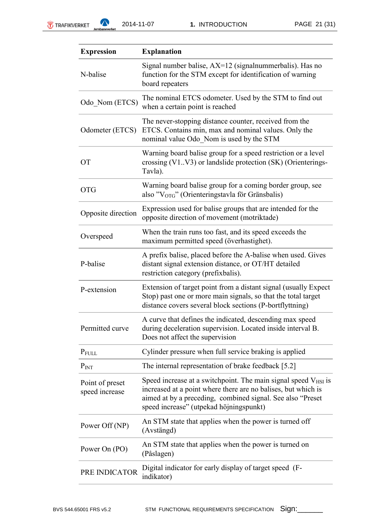$\sqrt{}$ 

| <b>Expression</b>                 | <b>Explanation</b>                                                                                                                                                                                                                             |
|-----------------------------------|------------------------------------------------------------------------------------------------------------------------------------------------------------------------------------------------------------------------------------------------|
| N-balise                          | Signal number balise, $AX=12$ (signal nummerbalis). Has no<br>function for the STM except for identification of warning<br>board repeaters                                                                                                     |
| Odo_Nom (ETCS)                    | The nominal ETCS odometer. Used by the STM to find out<br>when a certain point is reached                                                                                                                                                      |
| Odometer (ETCS)                   | The never-stopping distance counter, received from the<br>ETCS. Contains min, max and nominal values. Only the<br>nominal value Odo Nom is used by the STM                                                                                     |
| <b>OT</b>                         | Warning board balise group for a speed restriction or a level<br>crossing (V1V3) or landslide protection (SK) (Orienterings-<br>Tavla).                                                                                                        |
| <b>OTG</b>                        | Warning board balise group for a coming border group, see<br>also " $V_{OTG}$ " (Orienteringstavla för Gränsbalis)                                                                                                                             |
| Opposite direction                | Expression used for balise groups that are intended for the<br>opposite direction of movement (motriktade)                                                                                                                                     |
| Overspeed                         | When the train runs too fast, and its speed exceeds the<br>maximum permitted speed (överhastighet).                                                                                                                                            |
| P-balise                          | A prefix balise, placed before the A-balise when used. Gives<br>distant signal extension distance, or OT/HT detailed<br>restriction category (prefixbalis).                                                                                    |
| P-extension                       | Extension of target point from a distant signal (usually Expect<br>Stop) past one or more main signals, so that the total target<br>distance covers several block sections (P-bortflyttning)                                                   |
| Permitted curve                   | A curve that defines the indicated, descending max speed<br>during deceleration supervision. Located inside interval B.<br>Does not affect the supervision                                                                                     |
| $P_{\text{FULL}}$                 | Cylinder pressure when full service braking is applied                                                                                                                                                                                         |
| $P_{INT}$                         | The internal representation of brake feedback [5.2]                                                                                                                                                                                            |
| Point of preset<br>speed increase | Speed increase at a switchpoint. The main signal speed $V_{HSI}$ is<br>increased at a point where there are no balises, but which is<br>aimed at by a preceding, combined signal. See also "Preset"<br>speed increase" (utpekad höjningspunkt) |
| Power Off (NP)                    | An STM state that applies when the power is turned off<br>(Avstängd)                                                                                                                                                                           |
| Power On (PO)                     | An STM state that applies when the power is turned on<br>(Påslagen)                                                                                                                                                                            |
| PRE INDICATOR                     | Digital indicator for early display of target speed (F-<br>indikator)                                                                                                                                                                          |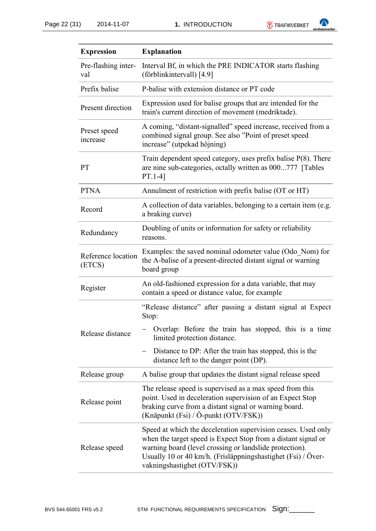| <b>Expression</b>            | <b>Explanation</b>                                                                                                                                                                                                                                                                        |
|------------------------------|-------------------------------------------------------------------------------------------------------------------------------------------------------------------------------------------------------------------------------------------------------------------------------------------|
| Pre-flashing inter-<br>val   | Interval Bf, in which the PRE INDICATOR starts flashing<br>(förblinkintervall) [4.9]                                                                                                                                                                                                      |
| Prefix balise                | P-balise with extension distance or PT code                                                                                                                                                                                                                                               |
| Present direction            | Expression used for balise groups that are intended for the<br>train's current direction of movement (medriktade).                                                                                                                                                                        |
| Preset speed<br>increase     | A coming, "distant-signalled" speed increase, received from a<br>combined signal group. See also "Point of preset speed<br>increase" (utpekad höjning)                                                                                                                                    |
| <b>PT</b>                    | Train dependent speed category, uses prefix balise $P(8)$ . There<br>are nine sub-categories, octally written as 000777 [Tables]<br>$PT.1-4]$                                                                                                                                             |
| <b>PTNA</b>                  | Annulment of restriction with prefix balise (OT or HT)                                                                                                                                                                                                                                    |
| Record                       | A collection of data variables, belonging to a certain item (e.g.<br>a braking curve)                                                                                                                                                                                                     |
| Redundancy                   | Doubling of units or information for safety or reliability<br>reasons.                                                                                                                                                                                                                    |
| Reference location<br>(ETCS) | Examples: the saved nominal odometer value (Odo Nom) for<br>the A-balise of a present-directed distant signal or warning<br>board group                                                                                                                                                   |
| Register                     | An old-fashioned expression for a data variable, that may<br>contain a speed or distance value, for example                                                                                                                                                                               |
|                              | "Release distance" after passing a distant signal at Expect<br>Stop:                                                                                                                                                                                                                      |
| Release distance             | Overlap: Before the train has stopped, this is a time<br>limited protection distance.                                                                                                                                                                                                     |
|                              | Distance to DP: After the train has stopped, this is the<br>distance left to the danger point (DP).                                                                                                                                                                                       |
| Release group                | A balise group that updates the distant signal release speed                                                                                                                                                                                                                              |
| Release point                | The release speed is supervised as a max speed from this<br>point. Used in deceleration supervision of an Expect Stop<br>braking curve from a distant signal or warning board.<br>(Knäpunkt (Fsi) / Ö-punkt (OTV/FSK))                                                                    |
| Release speed                | Speed at which the deceleration supervision ceases. Used only<br>when the target speed is Expect Stop from a distant signal or<br>warning board (level crossing or landslide protection).<br>Usually 10 or 40 km/h. (Frisläppningshastighet (Fsi) / Över-<br>vakningshastighet (OTV/FSK)) |
|                              |                                                                                                                                                                                                                                                                                           |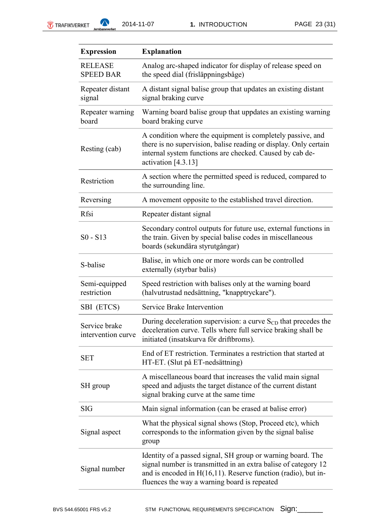$\sqrt{}$ **ernbanever** 

| <b>Expression</b>                   | <b>Explanation</b>                                                                                                                                                                                                                                |
|-------------------------------------|---------------------------------------------------------------------------------------------------------------------------------------------------------------------------------------------------------------------------------------------------|
| <b>RELEASE</b><br><b>SPEED BAR</b>  | Analog arc-shaped indicator for display of release speed on<br>the speed dial (frisläppningsbåge)                                                                                                                                                 |
| Repeater distant<br>signal          | A distant signal balise group that updates an existing distant<br>signal braking curve                                                                                                                                                            |
| Repeater warning<br>board           | Warning board balise group that uppdates an existing warning<br>board braking curve                                                                                                                                                               |
| Resting (cab)                       | A condition where the equipment is completely passive, and<br>there is no supervision, balise reading or display. Only certain<br>internal system functions are checked. Caused by cab de-<br>activation $[4.3.13]$                               |
| Restriction                         | A section where the permitted speed is reduced, compared to<br>the surrounding line.                                                                                                                                                              |
| Reversing                           | A movement opposite to the established travel direction.                                                                                                                                                                                          |
| Rfsi                                | Repeater distant signal                                                                                                                                                                                                                           |
| $S0 - S13$                          | Secondary control outputs for future use, external functions in<br>the train. Given by special balise codes in miscellaneous<br>boards (sekundära styrutgångar)                                                                                   |
| S-balise                            | Balise, in which one or more words can be controlled<br>externally (styrbar balis)                                                                                                                                                                |
| Semi-equipped<br>restriction        | Speed restriction with balises only at the warning board<br>(halvutrustad nedsättning, "knapptryckare").                                                                                                                                          |
| SBI (ETCS)                          | Service Brake Intervention                                                                                                                                                                                                                        |
| Service brake<br>intervention curve | During deceleration supervision: a curve $S_{CD}$ that precedes the<br>deceleration curve. Tells where full service braking shall be<br>initiated (insatskurva för driftbroms).                                                                   |
| <b>SET</b>                          | End of ET restriction. Terminates a restriction that started at<br>HT-ET. (Slut på ET-nedsättning)                                                                                                                                                |
| SH group                            | A miscellaneous board that increases the valid main signal<br>speed and adjusts the target distance of the current distant<br>signal braking curve at the same time                                                                               |
| <b>SIG</b>                          | Main signal information (can be erased at balise error)                                                                                                                                                                                           |
| Signal aspect                       | What the physical signal shows (Stop, Proceed etc), which<br>corresponds to the information given by the signal balise<br>group                                                                                                                   |
| Signal number                       | Identity of a passed signal, SH group or warning board. The<br>signal number is transmitted in an extra balise of category 12<br>and is encoded in $H(16,11)$ . Reserve function (radio), but in-<br>fluences the way a warning board is repeated |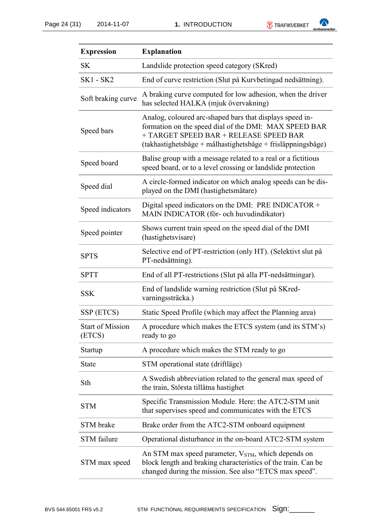**TRAFIKVERKET** 

| <b>Expression</b>                 | <b>Explanation</b>                                                                                                                                                                                                         |
|-----------------------------------|----------------------------------------------------------------------------------------------------------------------------------------------------------------------------------------------------------------------------|
| <b>SK</b>                         | Landslide protection speed category (SKred)                                                                                                                                                                                |
| <b>SK1 - SK2</b>                  | End of curve restriction (Slut på Kurvbetingad nedsättning).                                                                                                                                                               |
| Soft braking curve                | A braking curve computed for low adhesion, when the driver<br>has selected HALKA (mjuk övervakning)                                                                                                                        |
| Speed bars                        | Analog, coloured arc-shaped bars that displays speed in-<br>formation on the speed dial of the DMI: MAX SPEED BAR<br>+ TARGET SPEED BAR + RELEASE SPEED BAR<br>(takhastighetsbåge + målhastighetsbåge + frisläppningsbåge) |
| Speed board                       | Balise group with a message related to a real or a fictitious<br>speed board, or to a level crossing or landslide protection                                                                                               |
| Speed dial                        | A circle-formed indicator on which analog speeds can be dis-<br>played on the DMI (hastighetsmätare)                                                                                                                       |
| Speed indicators                  | Digital speed indicators on the DMI: PRE INDICATOR $+$<br>MAIN INDICATOR (för- och huvudindikator)                                                                                                                         |
| Speed pointer                     | Shows current train speed on the speed dial of the DMI<br>(hastighetsvisare)                                                                                                                                               |
| <b>SPTS</b>                       | Selective end of PT-restriction (only HT). (Selektivt slut på<br>PT-nedsättning).                                                                                                                                          |
| <b>SPTT</b>                       | End of all PT-restrictions (Slut på alla PT-nedsättningar).                                                                                                                                                                |
| <b>SSK</b>                        | End of landslide warning restriction (Slut på SKred-<br>varningssträcka.)                                                                                                                                                  |
| SSP (ETCS)                        | Static Speed Profile (which may affect the Planning area)                                                                                                                                                                  |
| <b>Start of Mission</b><br>(ETCS) | A procedure which makes the ETCS system (and its STM's)<br>ready to go                                                                                                                                                     |
| Startup                           | A procedure which makes the STM ready to go                                                                                                                                                                                |
| <b>State</b>                      | STM operational state (driftläge)                                                                                                                                                                                          |
| Sth                               | A Swedish abbreviation related to the general max speed of<br>the train, Största tillåtna hastighet                                                                                                                        |
| <b>STM</b>                        | Specific Transmission Module. Here: the ATC2-STM unit<br>that supervises speed and communicates with the ETCS                                                                                                              |
| STM brake                         | Brake order from the ATC2-STM onboard equipment                                                                                                                                                                            |
| <b>STM</b> failure                | Operational disturbance in the on-board ATC2-STM system                                                                                                                                                                    |
| STM max speed                     | An STM max speed parameter, $V_{STM}$ , which depends on<br>block length and braking characteristics of the train. Can be<br>changed during the mission. See also "ETCS max speed".                                        |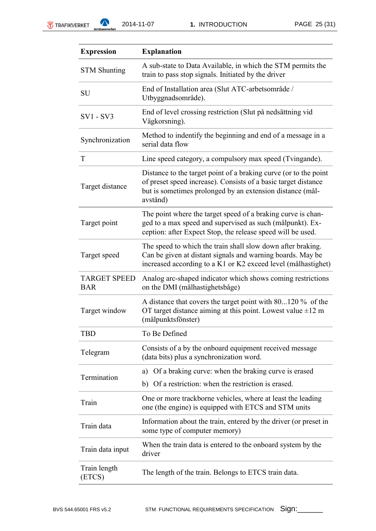$\bigwedge$ ernbaneverk

| <b>Expression</b>                 | <b>Explanation</b>                                                                                                                                                                                          |
|-----------------------------------|-------------------------------------------------------------------------------------------------------------------------------------------------------------------------------------------------------------|
| <b>STM Shunting</b>               | A sub-state to Data Available, in which the STM permits the<br>train to pass stop signals. Initiated by the driver                                                                                          |
| <b>SU</b>                         | End of Installation area (Slut ATC-arbetsområde /<br>Utbyggnadsområde).                                                                                                                                     |
| $SV1 - SV3$                       | End of level crossing restriction (Slut på nedsättning vid<br>Vägkorsning).                                                                                                                                 |
| Synchronization                   | Method to indentify the beginning and end of a message in a<br>serial data flow                                                                                                                             |
| T                                 | Line speed category, a compulsory max speed (Tvingande).                                                                                                                                                    |
| Target distance                   | Distance to the target point of a braking curve (or to the point<br>of preset speed increase). Consists of a basic target distance<br>but is sometimes prolonged by an extension distance (mål-<br>avstånd) |
| Target point                      | The point where the target speed of a braking curve is chan-<br>ged to a max speed and supervised as such (målpunkt). Ex-<br>ception: after Expect Stop, the release speed will be used.                    |
| Target speed                      | The speed to which the train shall slow down after braking.<br>Can be given at distant signals and warning boards. May be<br>increased according to a K1 or K2 exceed level (målhastighet)                  |
| <b>TARGET SPEED</b><br><b>BAR</b> | Analog arc-shaped indicator which shows coming restrictions<br>on the DMI (målhastighetsbåge)                                                                                                               |
| Target window                     | A distance that covers the target point with 80120 % of the<br>OT target distance aiming at this point. Lowest value $\pm 12$ m<br>(målpunktsfönster)                                                       |
| TBD                               | To Be Defined                                                                                                                                                                                               |
| Telegram                          | Consists of a by the onboard equipment received message<br>(data bits) plus a synchronization word.                                                                                                         |
|                                   | a) Of a braking curve: when the braking curve is erased                                                                                                                                                     |
| Termination                       | b) Of a restriction: when the restriction is erased.                                                                                                                                                        |
| Train                             | One or more trackborne vehicles, where at least the leading<br>one (the engine) is equipped with ETCS and STM units                                                                                         |
| Train data                        | Information about the train, entered by the driver (or preset in<br>some type of computer memory)                                                                                                           |
| Train data input                  | When the train data is entered to the onboard system by the<br>driver                                                                                                                                       |
| Train length<br>(ETCS)            | The length of the train. Belongs to ETCS train data.                                                                                                                                                        |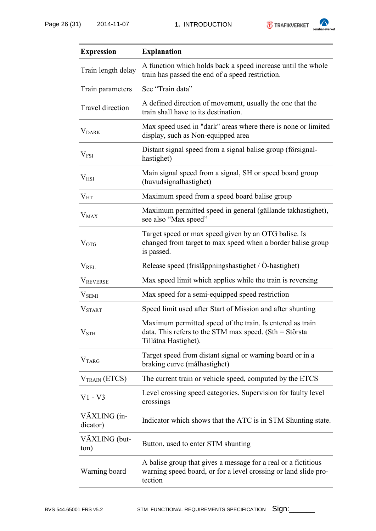| <b>Expression</b>         | <b>Explanation</b>                                                                                                                             |
|---------------------------|------------------------------------------------------------------------------------------------------------------------------------------------|
| Train length delay        | A function which holds back a speed increase until the whole<br>train has passed the end of a speed restriction.                               |
| Train parameters          | See "Train data"                                                                                                                               |
| <b>Travel direction</b>   | A defined direction of movement, usually the one that the<br>train shall have to its destination.                                              |
| $V_{\text{DARK}}$         | Max speed used in "dark" areas where there is none or limited<br>display, such as Non-equipped area                                            |
| $\rm V_{FSI}$             | Distant signal speed from a signal balise group (försignal-<br>hastighet)                                                                      |
| $V_{HSI}$                 | Main signal speed from a signal, SH or speed board group<br>(huvudsignalhastighet)                                                             |
| $V_{HT}$                  | Maximum speed from a speed board balise group                                                                                                  |
| $V_{MAX}$                 | Maximum permitted speed in general (gällande takhastighet),<br>see also "Max speed"                                                            |
| $V_{\text{OTG}}$          | Target speed or max speed given by an OTG balise. Is<br>changed from target to max speed when a border balise group<br>is passed.              |
| $V_{REL}$                 | Release speed (frisläppningshastighet / Ö-hastighet)                                                                                           |
| <b>V</b> REVERSE          | Max speed limit which applies while the train is reversing                                                                                     |
| $V_{\rm SEMI}$            | Max speed for a semi-equipped speed restriction                                                                                                |
| V <sub>STAT</sub>         | Speed limit used after Start of Mission and after shunting                                                                                     |
| V <sub>STH</sub>          | Maximum permitted speed of the train. Is entered as train<br>data. This refers to the STM max speed. $(Sth = Största)$<br>Tillåtna Hastighet). |
| V <sub>TARG</sub>         | Target speed from distant signal or warning board or in a<br>braking curve (målhastighet)                                                      |
| V <sub>TRAIN</sub> (ETCS) | The current train or vehicle speed, computed by the ETCS                                                                                       |
| $V1 - V3$                 | Level crossing speed categories. Supervision for faulty level<br>crossings                                                                     |
| VÄXLING (in-<br>dicator)  | Indicator which shows that the ATC is in STM Shunting state.                                                                                   |
| VÄXLING (but-<br>ton)     | Button, used to enter STM shunting                                                                                                             |
| Warning board             | A balise group that gives a message for a real or a fictitious<br>warning speed board, or for a level crossing or land slide pro-<br>tection   |
|                           |                                                                                                                                                |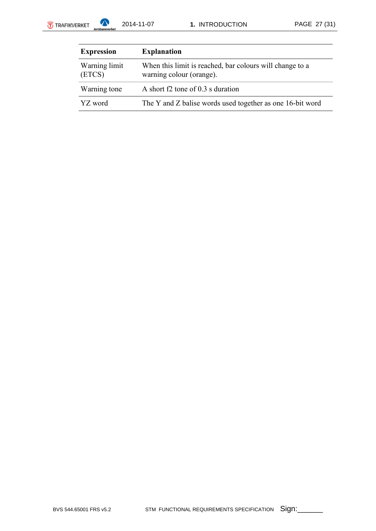$\bigwedge$ ernbanever

| <b>Expression</b>       | <b>Explanation</b>                                                                   |
|-------------------------|--------------------------------------------------------------------------------------|
| Warning limit<br>(ETCS) | When this limit is reached, bar colours will change to a<br>warning colour (orange). |
| Warning tone            | A short $f2$ tone of 0.3 s duration                                                  |
| YZ word                 | The Y and Z balise words used together as one 16-bit word                            |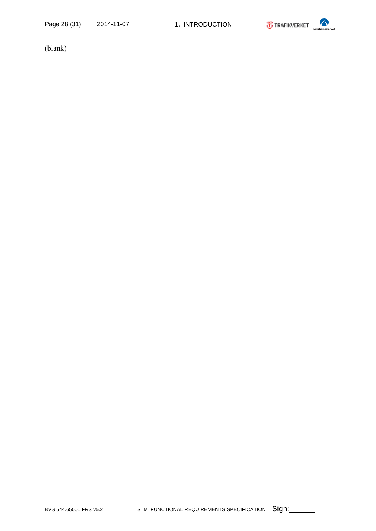$\sqrt{2}$ 

(blank)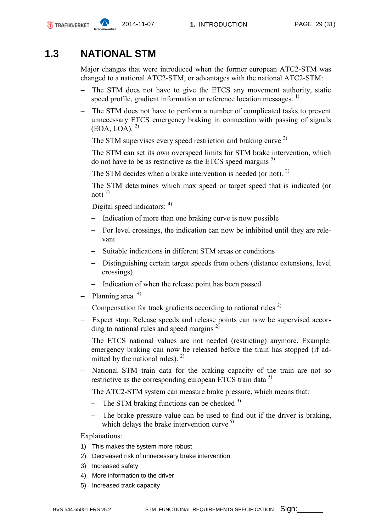### <span id="page-28-0"></span>**1.3 NATIONAL STM**

Major changes that were introduced when the former european ATC2-STM was changed to a national ATC2-STM, or advantages with the national ATC2-STM:

- The STM does not have to give the ETCS any movement authority, static speed profile, gradient information or reference location messages.<sup>1)</sup>
- The STM does not have to perform a number of complicated tasks to prevent unnecessary ETCS emergency braking in connection with passing of signals  $(EOA, LOA)$ .  $^{2}$
- The STM supervises every speed restriction and braking curve  $2^{2}$
- The STM can set its own overspeed limits for STM brake intervention, which do not have to be as restrictive as the ETCS speed margins<sup>5)</sup>
- The STM decides when a brake intervention is needed (or not).  $2^{2}$
- The STM determines which max speed or target speed that is indicated (or not) $^{2)}$
- $-$  Digital speed indicators:  $4$ )
	- Indication of more than one braking curve is now possible
	- For level crossings, the indication can now be inhibited until they are relevant
	- Suitable indications in different STM areas or conditions
	- Distinguishing certain target speeds from others (distance extensions, level crossings)
	- Indication of when the release point has been passed
- $-$  Planning area  $4$ )
- Compensation for track gradients according to national rules  $2$ )
- Expect stop: Release speeds and release points can now be supervised according to national rules and speed margins<sup>2)</sup>
- The ETCS national values are not needed (restricting) anymore. Example: emergency braking can now be released before the train has stopped (if admitted by the national rules).  $^{2)}$
- National STM train data for the braking capacity of the train are not so restrictive as the corresponding european ETCS train data<sup>5)</sup>
- The ATC2-STM system can measure brake pressure, which means that:
	- The STM braking functions can be checked  $3$ )
	- The brake pressure value can be used to find out if the driver is braking, which delays the brake intervention curve  $5$ )

#### Explanations:

- 1) This makes the system more robust
- 2) Decreased risk of unnecessary brake intervention
- 3) Increased safety
- 4) More information to the driver
- 5) Increased track capacity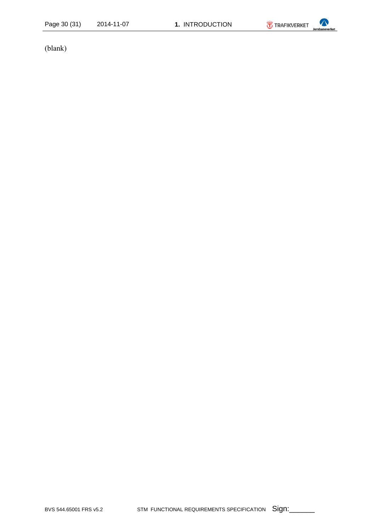$\sqrt{2}$ 

(blank)